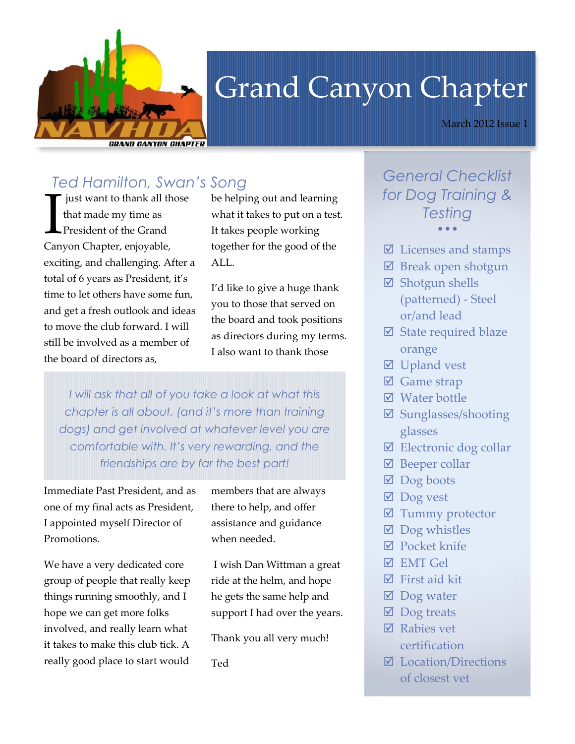

# Grand Canyon Chapter

March 2012 Issue 1

# *Ted Hamilton, Swan's Song*

just want to thank all those that made my time as President of the Grand Just want to thank all the that made my time as<br>
President of the Grand<br>
Canyon Chapter, enjoyable, exciting, and challenging. After a total of 6 years as President, it's time to let others have some fun, and get a fresh outlook and ideas to move the club forward. I will still be involved as a member of the board of directors as,

be helping out and learning what it takes to put on a test. It takes people working together for the good of the ALL.

I'd like to give a huge thank you to those that served on the board and took positions as directors during my terms. I also want to thank those

*I will ask that all of you take a look at what this chapter is all about, (and it's more than training dogs) and get involved at whatever level you are comfortable with. It's very rewarding, and the friendships are by far the best part!*

Immediate Past President, and as one of my final acts as President, I appointed myself Director of Promotions.

We have a very dedicated core group of people that really keep things running smoothly, and I hope we can get more folks involved, and really learn what it takes to make this club tick. A really good place to start would members that are always there to help, and offer assistance and guidance when needed.

I wish Dan Wittman a great ride at the helm, and hope he gets the same help and support I had over the years.

Thank you all very much!

Ted

*General Checklist for Dog Training & Testing*  $\bullet$   $\bullet$   $\bullet$ 

- $\Phi$  Licenses and stamps
- $\boxtimes$  Break open shotgun
- **Ø** Shotgun shells (patterned) - Steel or/and lead
- $\boxtimes$  State required blaze orange
- **Ø** Upland vest
- $\Phi$  Game strap
- **Ø** Water bottle
- Sunglasses/shooting glasses
- $\boxtimes$  Electronic dog collar
- $\Phi$  Beeper collar
- $\boxtimes$  Dog boots
- **Ø** Dog vest
- $\boxtimes$  Tummy protector
- $\boxtimes$  Dog whistles
- **Ø** Pocket knife
- $\boxtimes$  EMT Gel
- $\boxtimes$  First aid kit
- $\boxtimes$  Dog water
- $\boxtimes$  Dog treats
- **Ø** Rabies vet certification
- Location/Directions of closest vet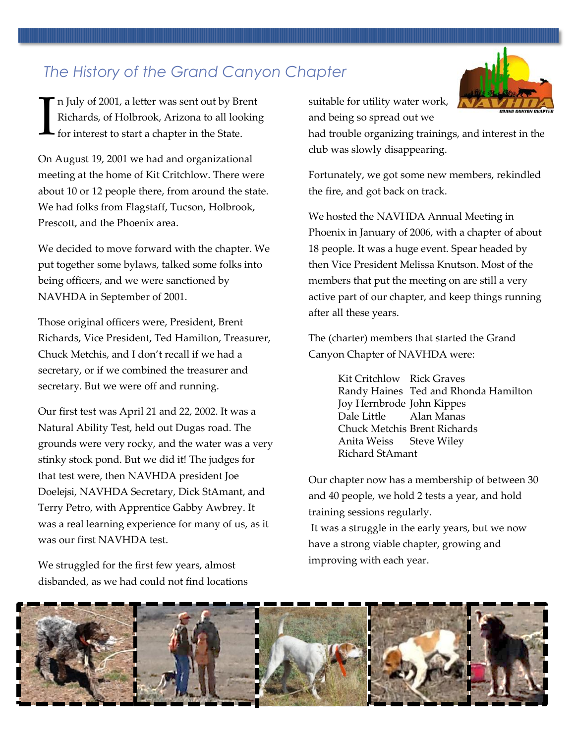*The History of the Grand Canyon Chapter*

n July of 2001, a letter was sent out by Brent Richards, of Holbrook, Arizona to all looking for interest to start a chapter in the State. I

On August 19, 2001 we had and organizational meeting at the home of Kit Critchlow. There were about 10 or 12 people there, from around the state. We had folks from Flagstaff, Tucson, Holbrook, Prescott, and the Phoenix area.

We decided to move forward with the chapter. We put together some bylaws, talked some folks into being officers, and we were sanctioned by NAVHDA in September of 2001.

Those original officers were, President, Brent Richards, Vice President, Ted Hamilton, Treasurer, Chuck Metchis, and I don't recall if we had a secretary, or if we combined the treasurer and secretary. But we were off and running.

Our first test was April 21 and 22, 2002. It was a Natural Ability Test, held out Dugas road. The grounds were very rocky, and the water was a very stinky stock pond. But we did it! The judges for that test were, then NAVHDA president Joe Doelejsi, NAVHDA Secretary, Dick StAmant, and Terry Petro, with Apprentice Gabby Awbrey. It was a real learning experience for many of us, as it was our first NAVHDA test.

We struggled for the first few years, almost disbanded, as we had could not find locations suitable for utility water work, and being so spread out we



had trouble organizing trainings, and interest in the club was slowly disappearing.

Fortunately, we got some new members, rekindled the fire, and got back on track.

We hosted the NAVHDA Annual Meeting in Phoenix in January of 2006, with a chapter of about 18 people. It was a huge event. Spear headed by then Vice President Melissa Knutson. Most of the members that put the meeting on are still a very active part of our chapter, and keep things running after all these years.

The (charter) members that started the Grand Canyon Chapter of NAVHDA were:

> Kit Critchlow Rick Graves Randy Haines Ted and Rhonda Hamilton Joy Hernbrode John Kippes Dale Little Alan Manas Chuck Metchis Brent Richards Anita Weiss Steve Wiley Richard StAmant

Our chapter now has a membership of between 30 and 40 people, we hold 2 tests a year, and hold training sessions regularly.

It was a struggle in the early years, but we now have a strong viable chapter, growing and improving with each year.

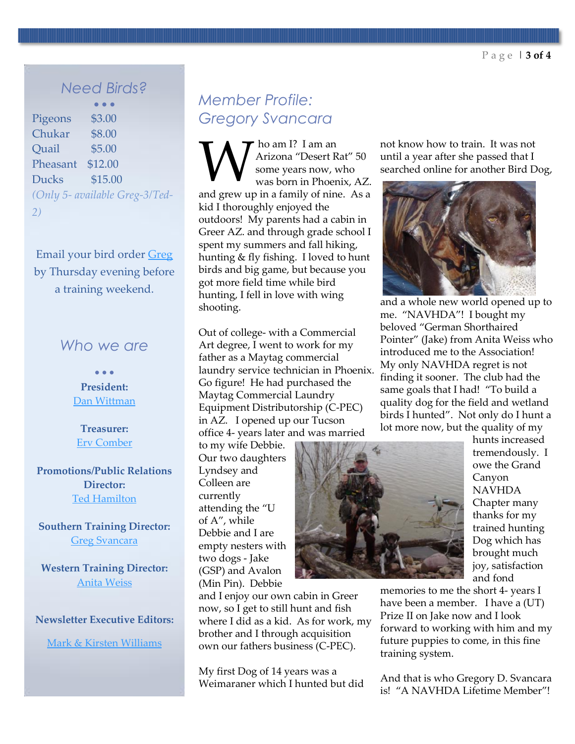#### *Need Birds?*

 $\bullet$   $\bullet$   $\bullet$ Pigeons \$3.00 Chukar \$8.00 Quail \$5.00 Pheasant \$12.00 Ducks \$15.00 *(Only 5- available Greg-3/Ted-2)*

Email your bird order [Greg](mailto:greg@cpec-laundry.com)  by Thursday evening before a training weekend.

#### *Who we are*

 $\bullet$   $\bullet$   $\bullet$ **President:** [Dan Wittman](mailto:wits-end_knl@msn.com)

**Treasurer:** [Erv Comber](mailto:ervcomer@gmail.com)

**Promotions/Public Relations Director:** [Ted Hamilton](mailto:pudelpointerguy@msn.com)

**Southern Training Director:**  [Greg Svancara](mailto:greg@cpec-laundry.com)

**Western Training Director:**  [Anita Weiss](mailto:1gba@citlink.net)

#### **Newsletter Executive Editors:**

[Mark & Kirsten Williams](mailto:markandkirsten@q.com)

## *Member Profile: Gregory Svancara*

ho am I? I am an Arizona "Desert Rat" 50 some years now, who was born in Phoenix, AZ. **M** Arizona "Desert Rat" 50<br>
some years now, who<br>
was born in Phoenix, AZ.<br>
and grew up in a family of nine. As a kid I thoroughly enjoyed the outdoors! My parents had a cabin in Greer AZ. and through grade school I spent my summers and fall hiking, hunting & fly fishing. I loved to hunt birds and big game, but because you got more field time while bird hunting, I fell in love with wing shooting.

Out of college- with a Commercial Art degree, I went to work for my father as a Maytag commercial laundry service technician in Phoenix. Go figure! He had purchased the Maytag Commercial Laundry Equipment Distributorship (C-PEC) in AZ. I opened up our Tucson office 4- years later and was married

and I enjoy our own cabin in Greer now, so I get to still hunt and fish where I did as a kid. As for work, my brother and I through acquisition own our fathers business (C-PEC).

My first Dog of 14 years was a Weimaraner which I hunted but did

to my wife Debbie. Our two daughters Lyndsey and Colleen are currently attending the "U of A", while Debbie and I are empty nesters with two dogs - Jake (GSP) and Avalon (Min Pin). Debbie



and fond memories to me the short 4- years I have been a member. I have a (UT) Prize II on Jake now and I look forward to working with him and my future puppies to come, in this fine training system.

is! "A NAVHDA Lifetime Member"!

not know how to train. It was not until a year after she passed that I searched online for another Bird Dog,



and a whole new world opened up to me. "NAVHDA"! I bought my beloved "German Shorthaired Pointer" (Jake) from Anita Weiss who introduced me to the Association! My only NAVHDA regret is not finding it sooner. The club had the same goals that I had! "To build a quality dog for the field and wetland birds I hunted". Not only do I hunt a lot more now, but the quality of my

hunts increased tremendously. I owe the Grand Canyon NAVHDA Chapter many thanks for my trained hunting Dog which has brought much joy, satisfaction

And that is who Gregory D. Svancara